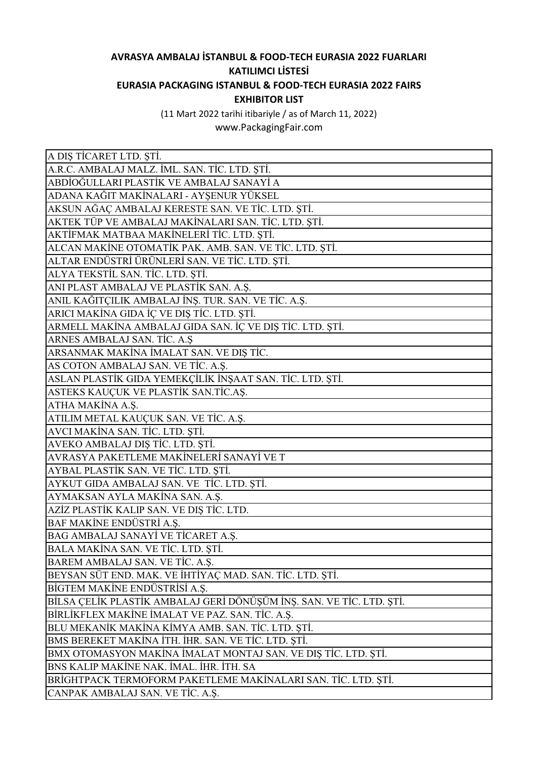## **AVRASYA AMBALAJ İSTANBUL & FOOD-TECH EURASIA 2022 FUARLARI KATILIMCI LİSTESİ EURASIA PACKAGING ISTANBUL & FOOD-TECH EURASIA 2022 FAIRS EXHIBITOR LIST**

(11 Mart 2022 tarihi itibariyle / as of March 11, 2022)

www.PackagingFair.com

| A DIȘ TİCARET LTD. ȘTİ.                                              |
|----------------------------------------------------------------------|
| A.R.C. AMBALAJ MALZ. İML. SAN. TİC. LTD. ŞTİ.                        |
| ABDİOĞULLARI PLASTİK VE AMBALAJ SANAYİ A                             |
| ADANA KAĞIT MAKİNALARI - AYŞENUR YÜKSEL                              |
| AKSUN AĞAÇ AMBALAJ KERESTE SAN. VE TİC. LTD. ŞTİ.                    |
| AKTEK TÜP VE AMBALAJ MAKİNALARI SAN. TİC. LTD. ŞTİ.                  |
| AKTİFMAK MATBAA MAKİNELERİ TİC. LTD. ŞTİ.                            |
| ALCAN MAKİNE OTOMATİK PAK. AMB. SAN. VE TİC. LTD. ŞTİ.               |
| ALTAR ENDÜSTRİ ÜRÜNLERİ SAN. VE TİC. LTD. ŞTİ.                       |
| ALYA TEKSTİL SAN. TİC. LTD. ŞTİ.                                     |
| ANI PLAST AMBALAJ VE PLASTİK SAN. A.Ş.                               |
| ANIL KAĞITÇILIK AMBALAJ İNŞ. TUR. SAN. VE TİC. A.Ş.                  |
| ARICI MAKİNA GIDA İÇ VE DIŞ TİC. LTD. ŞTİ.                           |
| ARMELL MAKİNA AMBALAJ GIDA SAN. İÇ VE DIŞ TİC. LTD. ŞTİ.             |
| ARNES AMBALAJ SAN. TİC. A.Ş                                          |
| ARSANMAK MAKİNA İMALAT SAN. VE DIŞ TİC.                              |
| AS COTON AMBALAJ SAN. VE TİC. A.Ş.                                   |
| ASLAN PLASTİK GIDA YEMEKÇİLİK İNŞAAT SAN. TİC. LTD. ŞTİ.             |
| ASTEKS KAUÇUK VE PLASTİK SAN.TİC.AŞ.                                 |
| ATHA MAKİNA A.Ş.                                                     |
| ATILIM METAL KAUÇUK SAN. VE TİC. A.Ş.                                |
| AVCI MAKİNA SAN. TİC. LTD. ŞTİ.                                      |
| AVEKO AMBALAJ DIŞ TİC. LTD. ŞTİ.                                     |
| AVRASYA PAKETLEME MAKİNELERİ SANAYİ VE T                             |
| AYBAL PLASTİK SAN. VE TİC. LTD. ŞTİ.                                 |
| AYKUT GIDA AMBALAJ SAN. VE TİC. LTD. ŞTİ.                            |
| AYMAKSAN AYLA MAKİNA SAN. A.Ş.                                       |
| AZİZ PLASTİK KALIP SAN. VE DIŞ TİC. LTD.                             |
| BAF MAKİNE ENDÜSTRİ A.Ş.                                             |
| BAG AMBALAJ SANAYİ VE TİCARET A.Ş.                                   |
| BALA MAKİNA SAN. VE TİC. LTD. ŞTİ.                                   |
| BAREM AMBALAJ SAN. VE TİC. A.Ş.                                      |
| BEYSAN SÜT END. MAK. VE İHTİYAÇ MAD. SAN. TİC. LTD. ŞTİ.             |
| BİGTEM MAKİNE ENDÜSTRİSİ A.Ş.                                        |
| BİLSA ÇELİK PLASTİK AMBALAJ GERİ DÖNÜŞÜM İNŞ. SAN. VE TİC. LTD. ŞTİ. |
| BİRLİKFLEX MAKİNE İMALAT VE PAZ. SAN. TİC. A.Ş.                      |
| BLU MEKANİK MAKİNA KİMYA AMB. SAN. TİC. LTD. ŞTİ.                    |
| BMS BEREKET MAKİNA İTH. İHR. SAN. VE TİC. LTD. ŞTİ.                  |
| BMX OTOMASYON MAKİNA İMALAT MONTAJ SAN. VE DIŞ TİC. LTD. ŞTİ.        |
| BNS KALIP MAKİNE NAK. İMAL. İHR. İTH. SA                             |
| BRİGHTPACK TERMOFORM PAKETLEME MAKİNALARI SAN. TİC. LTD. ŞTİ.        |
| CANPAK AMBALAJ SAN. VE TİC. A.Ş.                                     |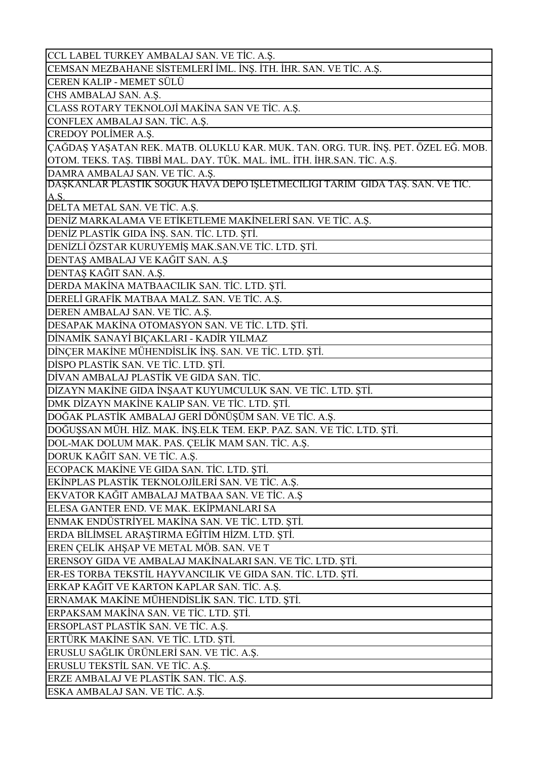| CCL LABEL TURKEY AMBALAJ SAN. VE TİC. A.Ş.                                        |
|-----------------------------------------------------------------------------------|
| CEMSAN MEZBAHANE SİSTEMLERİ İML. İNŞ. İTH. İHR. SAN. VE TİC. A.Ş.                 |
| CEREN KALIP - MEMET SÜLÜ                                                          |
| CHS AMBALAJ SAN. A.Ş.                                                             |
| CLASS ROTARY TEKNOLOJİ MAKİNA SAN VE TİC. A.Ş.                                    |
| CONFLEX AMBALAJ SAN. TİC. A.Ş.                                                    |
| <b>CREDOY POLIMER A.Ş.</b>                                                        |
| ÇAĞDAŞ YAŞATAN REK. MATB. OLUKLU KAR. MUK. TAN. ORG. TUR. İNŞ. PET. ÖZEL EĞ. MOB. |
| OTOM. TEKS. TAŞ. TIBBİ MAL. DAY. TÜK. MAL. İML. İTH. İHR.SAN. TİC. A.Ş.           |
| DAMRA AMBALAJ SAN. VE TİC. A.Ş.                                                   |
| DAŞKANLAR PLASTIK SOGUK HAVA DEPO IŞLETMECILIGI TARIM GIDA TAŞ. SAN. VE TIC.      |
| A.S.                                                                              |
| DELTA METAL SAN. VE TİC. A.Ş.                                                     |
| DENİZ MARKALAMA VE ETİKETLEME MAKİNELERİ SAN. VE TİC. A.Ş.                        |
| DENİZ PLASTİK GIDA İNŞ. SAN. TİC. LTD. ŞTİ.                                       |
| DENİZLİ ÖZSTAR KURUYEMİŞ MAK.SAN.VE TİC. LTD. ŞTİ.                                |
| DENTAȘ AMBALAJ VE KAĞIT SAN. A.Ş                                                  |
| DENTAŞ KAĞIT SAN. A.Ş.                                                            |
| DERDA MAKİNA MATBAACILIK SAN. TİC. LTD. ŞTİ.                                      |
| DERELİ GRAFİK MATBAA MALZ. SAN. VE TİC. A.Ş.                                      |
| DEREN AMBALAJ SAN. VE TİC. A.Ş.                                                   |
| DESAPAK MAKİNA OTOMASYON SAN. VE TİC. LTD. ŞTİ.                                   |
| DİNAMİK SANAYİ BIÇAKLARI - KADİR YILMAZ                                           |
| DİNÇER MAKİNE MÜHENDİSLİK İNŞ. SAN. VE TİC. LTD. ŞTİ.                             |
| DİSPO PLASTİK SAN. VE TİC. LTD. ŞTİ.                                              |
| DİVAN AMBALAJ PLASTİK VE GIDA SAN. TİC.                                           |
| DİZAYN MAKİNE GIDA İNŞAAT KUYUMCULUK SAN. VE TİC. LTD. ŞTİ.                       |
| DMK DİZAYN MAKİNE KALIP SAN. VE TİC. LTD. ŞTİ.                                    |
| DOĞAK PLASTİK AMBALAJ GERİ DÖNÜŞÜM SAN. VE TİC. A.Ş.                              |
| DOĞUŞSAN MÜH. HİZ. MAK. İNŞ.ELK TEM. EKP. PAZ. SAN. VE TİC. LTD. ŞTİ.             |
| DOL-MAK DOLUM MAK. PAS. ÇELİK MAM SAN. TİC. A.Ş.                                  |
| DORUK KAĞIT SAN. VE TİC. A.Ş.                                                     |
| ECOPACK MAKINE VE GIDA SAN. TIC. LTD. ȘTI.                                        |
| EKİNPLAS PLASTİK TEKNOLOJİLERİ SAN. VE TİC. A.Ş.                                  |
| EKVATOR KAĞIT AMBALAJ MATBAA SAN. VE TİC. A.Ş                                     |
| ELESA GANTER END. VE MAK. EKİPMANLARI SA                                          |
| ENMAK ENDÜSTRİYEL MAKİNA SAN. VE TİC. LTD. ŞTİ.                                   |
| ERDA BİLİMSEL ARAŞTIRMA EĞİTİM HİZM. LTD. ŞTİ.                                    |
| EREN ÇELİK AHŞAP VE METAL MÖB. SAN. VE T                                          |
| ERENSOY GIDA VE AMBALAJ MAKİNALARI SAN. VE TİC. LTD. ŞTİ.                         |
| ER-ES TORBA TEKSTİL HAYVANCILIK VE GIDA SAN. TİC. LTD. ŞTİ.                       |
| ERKAP KAĞIT VE KARTON KAPLAR SAN. TİC. A.Ş.                                       |
| ERNAMAK MAKİNE MÜHENDİSLİK SAN. TİC. LTD. ŞTİ.                                    |
| ERPAKSAM MAKİNA SAN. VE TİC. LTD. ŞTİ.                                            |
| ERSOPLAST PLASTIK SAN. VE TIC. A.Ş.                                               |
| ERTÜRK MAKİNE SAN. VE TİC. LTD. ŞTİ.                                              |
| ERUSLU SAĞLIK ÜRÜNLERİ SAN. VE TİC. A.Ş.                                          |
| ERUSLU TEKSTİL SAN. VE TİC. A.Ş.                                                  |
| ERZE AMBALAJ VE PLASTİK SAN. TİC. A.Ş.                                            |
| ESKA AMBALAJ SAN. VE TİC. A.Ş.                                                    |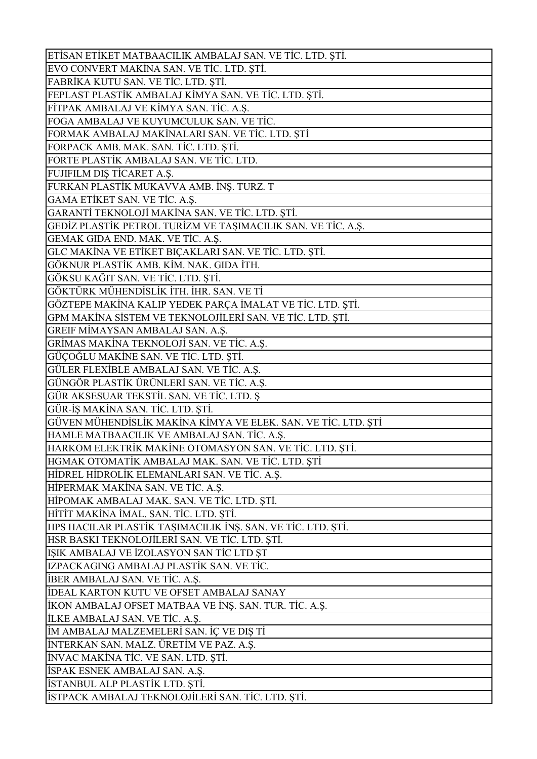| ETİSAN ETİKET MATBAACILIK AMBALAJ SAN. VE TİC. LTD. ŞTİ.      |
|---------------------------------------------------------------|
| EVO CONVERT MAKİNA SAN. VE TİC. LTD. ŞTİ.                     |
| FABRİKA KUTU SAN. VE TİC. LTD. ŞTİ.                           |
| FEPLAST PLASTİK AMBALAJ KİMYA SAN. VE TİC. LTD. ŞTİ.          |
| FİTPAK AMBALAJ VE KİMYA SAN. TİC. A.Ş.                        |
| FOGA AMBALAJ VE KUYUMCULUK SAN. VE TİC.                       |
| FORMAK AMBALAJ MAKİNALARI SAN. VE TİC. LTD. ŞTİ               |
| FORPACK AMB. MAK. SAN. TİC. LTD. ŞTİ.                         |
| FORTE PLASTİK AMBALAJ SAN. VE TİC. LTD.                       |
| FUJIFILM DIŞ TİCARET A.Ş.                                     |
| FURKAN PLASTİK MUKAVVA AMB. İNŞ. TURZ. T                      |
| GAMA ETİKET SAN. VE TİC. A.Ş.                                 |
| GARANTİ TEKNOLOJİ MAKİNA SAN. VE TİC. LTD. ŞTİ.               |
| GEDİZ PLASTİK PETROL TURİZM VE TAŞIMACILIK SAN. VE TİC. A.Ş.  |
| GEMAK GIDA END. MAK. VE TİC. A.Ş.                             |
| GLC MAKİNA VE ETİKET BIÇAKLARI SAN. VE TİC. LTD. ŞTİ.         |
| GÖKNUR PLASTİK AMB. KİM. NAK. GIDA İTH.                       |
| GÖKSU KAĞIT SAN. VE TİC. LTD. ŞTİ.                            |
| GÖKTÜRK MÜHENDİSLİK İTH. İHR. SAN. VE Tİ                      |
| GÖZTEPE MAKİNA KALIP YEDEK PARÇA İMALAT VE TİC. LTD. ŞTİ.     |
| GPM MAKİNA SİSTEM VE TEKNOLOJİLERİ SAN. VE TİC. LTD. ŞTİ.     |
| GREIF MİMAYSAN AMBALAJ SAN. A.Ş.                              |
| GRİMAS MAKİNA TEKNOLOJİ SAN. VE TİC. A.Ş.                     |
| GÜÇOĞLU MAKİNE SAN. VE TİC. LTD. ŞTİ.                         |
| GÜLER FLEXİBLE AMBALAJ SAN. VE TİC. A.Ş.                      |
| GÜNGÖR PLASTİK ÜRÜNLERİ SAN. VE TİC. A.Ş.                     |
| GÜR AKSESUAR TEKSTİL SAN. VE TİC. LTD. Ş                      |
| GÜR-İŞ MAKİNA SAN. TİC. LTD. ŞTİ.                             |
| GÜVEN MÜHENDİSLİK MAKİNA KİMYA VE ELEK. SAN. VE TİC. LTD. ŞTİ |
| HAMLE MATBAACILIK VE AMBALAJ SAN. TİC. A.Ş.                   |
| HARKOM ELEKTRİK MAKİNE OTOMASYON SAN. VE TİC. LTD. ŞTİ.       |
| HGMAK OTOMATİK AMBALAJ MAK. SAN. VE TİC. LTD. ŞTİ             |
| HİDREL HİDROLİK ELEMANLARI SAN. VE TİC. A.Ş.                  |
| HİPERMAK MAKİNA SAN. VE TİC. A.Ş.                             |
| HİPOMAK AMBALAJ MAK. SAN. VE TİC. LTD. ŞTİ.                   |
| HİTİT MAKİNA İMAL. SAN. TİC. LTD. ŞTİ.                        |
| HPS HACILAR PLASTİK TAŞIMACILIK İNŞ. SAN. VE TİC. LTD. ŞTİ.   |
| HSR BASKI TEKNOLOJİLERİ SAN. VE TİC. LTD. ŞTİ.                |
|                                                               |
| IŞIK AMBALAJ VE İZOLASYON SAN TİC LTD ŞT                      |
| IZPACKAGING AMBALAJ PLASTİK SAN. VE TİC.                      |
| İBER AMBALAJ SAN. VE TİC. A.Ş.                                |
| <b>İDEAL KARTON KUTU VE OFSET AMBALAJ SANAY</b>               |
| İKON AMBALAJ OFSET MATBAA VE İNŞ. SAN. TUR. TİC. A.Ş.         |
| <b>İLKE AMBALAJ SAN. VE TİC. A.Ş.</b>                         |
| İM AMBALAJ MALZEMELERİ SAN. İÇ VE DIŞ Tİ                      |
| İNTERKAN SAN. MALZ. ÜRETİM VE PAZ. A.Ş.                       |
| INVAC MAKINA TIC. VE SAN. LTD. ȘTI.                           |
| İSPAK ESNEK AMBALAJ SAN. A.Ş.                                 |
| İSTANBUL ALP PLASTİK LTD. ŞTİ.                                |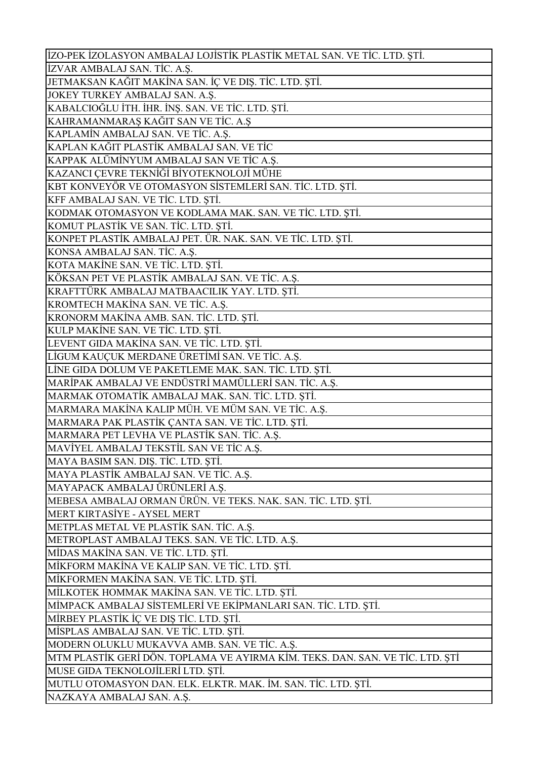| İZO-PEK İZOLASYON AMBALAJ LOJİSTİK PLASTİK METAL SAN. VE TİC. LTD. ŞTİ.       |
|-------------------------------------------------------------------------------|
| İZVAR AMBALAJ SAN. TİC. A.Ş.                                                  |
| JETMAKSAN KAĞIT MAKİNA SAN. İÇ VE DIŞ. TİC. LTD. ŞTİ.                         |
| JOKEY TURKEY AMBALAJ SAN. A.Ş.                                                |
| KABALCIOĞLU İTH. İHR. İNŞ. SAN. VE TİC. LTD. ŞTİ.                             |
| KAHRAMANMARAŞ KAĞIT SAN VE TİC. A.Ş                                           |
| KAPLAMİN AMBALAJ SAN. VE TİC. A.Ş.                                            |
| KAPLAN KAĞIT PLASTİK AMBALAJ SAN. VE TİC                                      |
| KAPPAK ALÜMİNYUM AMBALAJ SAN VE TİC A.Ş.                                      |
| KAZANCI ÇEVRE TEKNİĞİ BİYOTEKNOLOJİ MÜHE                                      |
| KBT KONVEYÖR VE OTOMASYON SİSTEMLERİ SAN. TİC. LTD. ŞTİ.                      |
| KFF AMBALAJ SAN. VE TİC. LTD. ŞTİ.                                            |
| KODMAK OTOMASYON VE KODLAMA MAK. SAN. VE TİC. LTD. ŞTİ.                       |
| KOMUT PLASTİK VE SAN. TİC. LTD. ŞTİ.                                          |
| KONPET PLASTİK AMBALAJ PET. ÜR. NAK. SAN. VE TİC. LTD. ŞTİ.                   |
| KONSA AMBALAJ SAN. TİC. A.Ş.                                                  |
| KOTA MAKİNE SAN. VE TİC. LTD. ŞTİ.                                            |
| KÖKSAN PET VE PLASTİK AMBALAJ SAN. VE TİC. A.Ş.                               |
| KRAFTTÜRK AMBALAJ MATBAACILIK YAY. LTD. ȘTİ.                                  |
| KROMTECH MAKİNA SAN. VE TİC. A.Ş.                                             |
| KRONORM MAKİNA AMB. SAN. TİC. LTD. ŞTİ.                                       |
| KULP MAKİNE SAN. VE TİC. LTD. ŞTİ.                                            |
| LEVENT GIDA MAKİNA SAN. VE TİC. LTD. ŞTİ.                                     |
| LİGUM KAUÇUK MERDANE ÜRETİMİ SAN. VE TİC. A.Ş.                                |
| LİNE GIDA DOLUM VE PAKETLEME MAK. SAN. TİC. LTD. ŞTİ.                         |
| MARİPAK AMBALAJ VE ENDÜSTRİ MAMÜLLERİ SAN. TİC. A.Ş.                          |
| MARMAK OTOMATİK AMBALAJ MAK. SAN. TİC. LTD. ŞTİ.                              |
| MARMARA MAKİNA KALIP MÜH. VE MÜM SAN. VE TİC. A.Ş.                            |
| MARMARA PAK PLASTİK ÇANTA SAN. VE TİC. LTD. ŞTİ.                              |
| MARMARA PET LEVHA VE PLASTİK SAN. TİC. A.Ş.                                   |
| MAVİYEL AMBALAJ TEKSTİL SAN VE TİC A.Ş.                                       |
| MAYA BASIM SAN. DIŞ. TİC. LTD. ŞTİ.                                           |
| MAYA PLASTİK AMBALAJ SAN. VE TİC. A.Ş.                                        |
| MAYAPACK AMBALAJ ÜRÜNLERİ A.Ş.                                                |
| MEBESA AMBALAJ ORMAN ÜRÜN. VE TEKS. NAK. SAN. TİC. LTD. ŞTİ.                  |
| MERT KIRTASİYE - AYSEL MERT                                                   |
| METPLAS METAL VE PLASTİK SAN. TİC. A.Ş.                                       |
| METROPLAST AMBALAJ TEKS. SAN. VE TİC. LTD. A.Ş.                               |
| MİDAS MAKİNA SAN. VE TİC. LTD. ŞTİ.                                           |
| MİKFORM MAKİNA VE KALIP SAN. VE TİC. LTD. ŞTİ.                                |
| MİKFORMEN MAKİNA SAN. VE TİC. LTD. ŞTİ.                                       |
| MİLKOTEK HOMMAK MAKİNA SAN. VE TİC. LTD. ŞTİ.                                 |
| MİMPACK AMBALAJ SİSTEMLERİ VE EKİPMANLARI SAN. TİC. LTD. ŞTİ.                 |
| MİRBEY PLASTİK İÇ VE DIŞ TİC. LTD. ŞTİ.                                       |
| MİSPLAS AMBALAJ SAN. VE TİC. LTD. ŞTİ.                                        |
| MODERN OLUKLU MUKAVVA AMB. SAN. VE TİC. A.Ş.                                  |
| MTM PLASTİK GERİ DÖN. TOPLAMA VE AYIRMA KİM. TEKS. DAN. SAN. VE TİC. LTD. ŞTİ |
| MUSE GIDA TEKNOLOJİLERİ LTD. ŞTİ.                                             |
| MUTLU OTOMASYON DAN. ELK. ELKTR. MAK. İM. SAN. TİC. LTD. ŞTİ.                 |
| NAZKAYA AMBALAJ SAN. A.Ş.                                                     |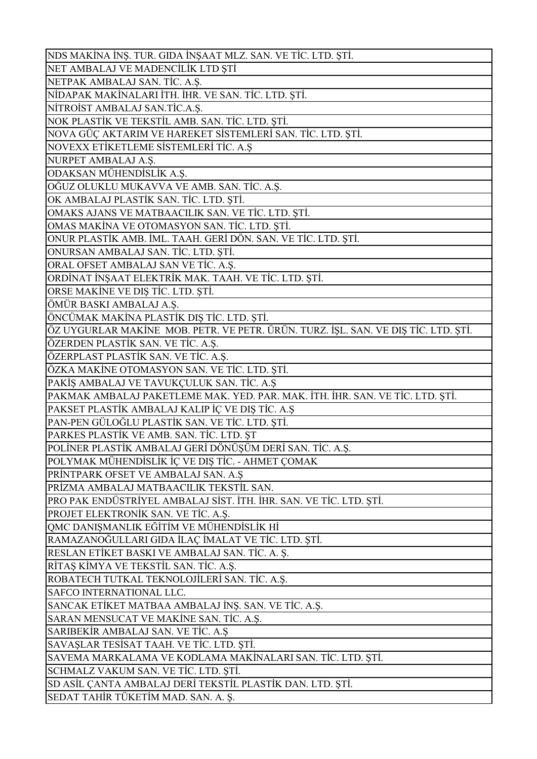| NDS MAKİNA İNŞ. TUR. GIDA İNŞAAT MLZ. SAN. VE TİC. LTD. ŞTİ.                                      |
|---------------------------------------------------------------------------------------------------|
| NET AMBALAJ VE MADENCİLİK LTD ŞTİ                                                                 |
| NETPAK AMBALAJ SAN. TİC. A.Ş.                                                                     |
| NİDAPAK MAKİNALARI İTH. İHR. VE SAN. TİC. LTD. ŞTİ.                                               |
| NİTROİST AMBALAJ SAN.TİC.A.Ş.                                                                     |
| NOK PLASTİK VE TEKSTİL AMB. SAN. TİC. LTD. ŞTİ.                                                   |
| NOVA GÜÇ AKTARIM VE HAREKET SİSTEMLERİ SAN. TİC. LTD. ŞTİ.                                        |
| NOVEXX ETİKETLEME SİSTEMLERİ TİC. A.Ş                                                             |
| NURPET AMBALAJ A.Ş.                                                                               |
| ODAKSAN MÜHENDİSLİK A.Ş.                                                                          |
| OĞUZ OLUKLU MUKAVVA VE AMB. SAN. TİC. A.Ş.                                                        |
| OK AMBALAJ PLASTİK SAN. TİC. LTD. ŞTİ.                                                            |
| OMAKS AJANS VE MATBAACILIK SAN. VE TİC. LTD. ŞTİ.                                                 |
| OMAS MAKİNA VE OTOMASYON SAN. TİC. LTD. ŞTİ.                                                      |
| ONUR PLASTİK AMB. İML. TAAH. GERİ DÖN. SAN. VE TİC. LTD. ŞTİ.                                     |
| ONURSAN AMBALAJ SAN. TİC. LTD. ŞTİ.                                                               |
| ORAL OFSET AMBALAJ SAN VE TİC. A.Ş.                                                               |
| ORDİNAT İNŞAAT ELEKTRİK MAK. TAAH. VE TİC. LTD. ŞTİ.                                              |
| ORSE MAKINE VE DIŞ TİC. LTD. ŞTİ.                                                                 |
| ÖMÜR BASKI AMBALAJ A.Ş.                                                                           |
| ÖNCÜMAK MAKİNA PLASTİK DIŞ TİC. LTD. ŞTİ.                                                         |
| ÖZ UYGURLAR MAKİNE MOB. PETR. VE PETR. ÜRÜN. TURZ. İŞL. SAN. VE DIŞ TİC. LTD. ŞTİ.                |
| ÖZERDEN PLASTİK SAN. VE TİC. A.Ş.                                                                 |
| ÖZERPLAST PLASTİK SAN. VE TİC. A.Ş.                                                               |
| ÖZKA MAKİNE OTOMASYON SAN. VE TİC. LTD. ŞTİ.                                                      |
|                                                                                                   |
|                                                                                                   |
| PAKİŞ AMBALAJ VE TAVUKÇULUK SAN. TİC. A.Ş                                                         |
| PAKMAK AMBALAJ PAKETLEME MAK. YED. PAR. MAK. İTH. İHR. SAN. VE TİC. LTD. ŞTİ.                     |
| PAKSET PLASTİK AMBALAJ KALIP İÇ VE DIŞ TİC. A.Ş                                                   |
| PAN-PEN GÜLOĞLU PLASTİK SAN. VE TİC. LTD. ŞTİ.                                                    |
| PARKES PLASTİK VE AMB. SAN. TİC. LTD. ŞT                                                          |
| POLİNER PLASTİK AMBALAJ GERİ DÖNÜŞÜM DERİ SAN. TİC. A.Ş.                                          |
| POLYMAK MÜHENDİSLİK İÇ VE DIŞ TİC. - AHMET ÇOMAK                                                  |
| PRİNTPARK OFSET VE AMBALAJ SAN. A.Ş                                                               |
| PRIZMA AMBALAJ MATBAACILIK TEKSTIL SAN.                                                           |
| PRO PAK ENDÜSTRİYEL AMBALAJ SİST. İTH. İHR. SAN. VE TİC. LTD. ŞTİ.                                |
| PROJET ELEKTRONİK SAN. VE TİC. A.Ş.                                                               |
| QMC DANIŞMANLIK EĞİTİM VE MÜHENDİSLİK Hİ                                                          |
| RAMAZANOĞULLARI GIDA İLAÇ İMALAT VE TİC. LTD. ŞTİ.                                                |
| RESLAN ETİKET BASKI VE AMBALAJ SAN. TİC. A. Ş.                                                    |
| RİTAŞ KİMYA VE TEKSTİL SAN. TİC. A.Ş.                                                             |
| ROBATECH TUTKAL TEKNOLOJİLERİ SAN. TİC. A.Ş.                                                      |
| SAFCO INTERNATIONAL LLC.                                                                          |
| SANCAK ETİKET MATBAA AMBALAJ İNŞ. SAN. VE TİC. A.Ş.                                               |
| SARAN MENSUCAT VE MAKİNE SAN. TİC. A.Ş.                                                           |
| SARIBEKİR AMBALAJ SAN. VE TİC. A.Ş                                                                |
| SAVAŞLAR TESİSAT TAAH. VE TİC. LTD. ŞTİ.                                                          |
| SAVEMA MARKALAMA VE KODLAMA MAKİNALARI SAN. TİC. LTD. ŞTİ.                                        |
| SCHMALZ VAKUM SAN. VE TİC. LTD. ŞTİ.<br>SD ASİL ÇANTA AMBALAJ DERİ TEKSTİL PLASTİK DAN. LTD. ŞTİ. |
| SEDAT TAHİR TÜKETİM MAD. SAN. A. Ş.                                                               |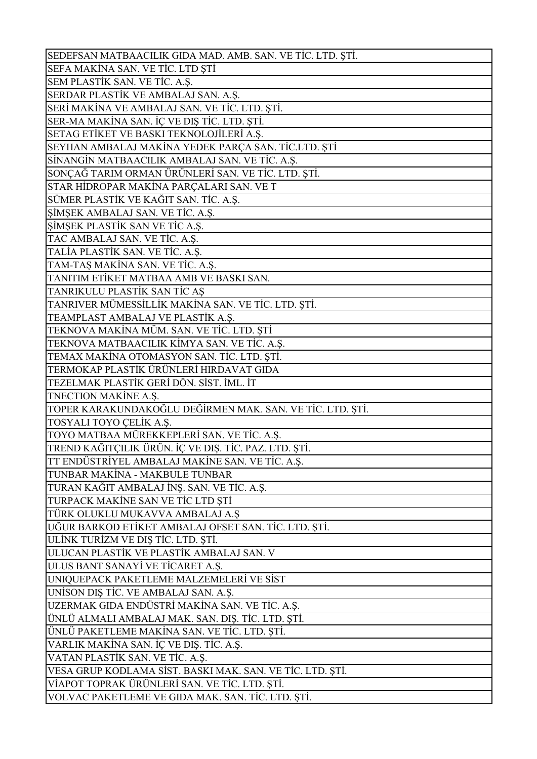| SEDEFSAN MATBAACILIK GIDA MAD. AMB. SAN. VE TİC. LTD. ŞTİ. |
|------------------------------------------------------------|
| SEFA MAKİNA SAN. VE TİC. LTD ŞTİ                           |
| SEM PLASTİK SAN. VE TİC. A.Ş.                              |
| SERDAR PLASTİK VE AMBALAJ SAN. A.Ş.                        |
| SERİ MAKİNA VE AMBALAJ SAN. VE TİC. LTD. ŞTİ.              |
| SER-MA MAKİNA SAN. İÇ VE DIŞ TİC. LTD. ŞTİ.                |
| SETAG ETİKET VE BASKI TEKNOLOJİLERİ A.Ş.                   |
| SEYHAN AMBALAJ MAKİNA YEDEK PARÇA SAN. TİC.LTD. ŞTİ        |
| SİNANGİN MATBAACILIK AMBALAJ SAN. VE TİC. A.Ş.             |
| SONÇAĞ TARIM ORMAN ÜRÜNLERİ SAN. VE TİC. LTD. ŞTİ.         |
| STAR HİDROPAR MAKİNA PARÇALARI SAN. VE T                   |
| SÜMER PLASTİK VE KAĞIT SAN. TİC. A.Ş.                      |
| ŞİMŞEK AMBALAJ SAN. VE TİC. A.Ş.                           |
| ŞİMŞEK PLASTİK SAN VE TİC A.Ş.                             |
| TAC AMBALAJ SAN. VE TİC. A.Ş.                              |
| TALÍA PLASTİK SAN. VE TİC. A.Ş.                            |
| TAM-TAŞ MAKİNA SAN. VE TİC. A.Ş.                           |
| TANITIM ETİKET MATBAA AMB VE BASKI SAN.                    |
| TANRIKULU PLASTİK SAN TİC AŞ                               |
| TANRIVER MÜMESSİLLİK MAKİNA SAN. VE TİC. LTD. ŞTİ.         |
| TEAMPLAST AMBALAJ VE PLASTİK A.Ş.                          |
| TEKNOVA MAKİNA MÜM. SAN. VE TİC. LTD. ŞTİ                  |
| TEKNOVA MATBAACILIK KİMYA SAN. VE TİC. A.Ş.                |
| TEMAX MAKİNA OTOMASYON SAN. TİC. LTD. ŞTİ.                 |
| TERMOKAP PLASTİK ÜRÜNLERİ HIRDAVAT GIDA                    |
| TEZELMAK PLASTİK GERİ DÖN. SİST. İML. İT                   |
| TNECTION MAKINE A.Ş.                                       |
| TOPER KARAKUNDAKOĞLU DEĞİRMEN MAK. SAN. VE TİC. LTD. ŞTİ.  |
| TOSYALI TOYO ÇELİK A.Ş.                                    |
| TOYO MATBAA MÜREKKEPLERİ SAN. VE TİC. A.Ş.                 |
| TREND KAĞITÇILIK ÜRÜN. İÇ VE DIŞ. TİC. PAZ. LTD. ŞTİ.      |
| TT ENDÜSTRİYEL AMBALAJ MAKİNE SAN. VE TİC. A.Ş.            |
| TUNBAR MAKİNA - MAKBULE TUNBAR                             |
| TURAN KAĞIT AMBALAJ İNŞ. SAN. VE TİC. A.Ş.                 |
| TURPACK MAKİNE SAN VE TİC LTD ŞTİ                          |
| TÜRK OLUKLU MUKAVVA AMBALAJ A.Ş                            |
| UĞUR BARKOD ETİKET AMBALAJ OFSET SAN. TİC. LTD. ŞTİ.       |
| ULİNK TURİZM VE DIŞ TİC. LTD. ŞTİ.                         |
| ULUCAN PLASTİK VE PLASTİK AMBALAJ SAN. V                   |
| ULUS BANT SANAYİ VE TİCARET A.Ş.                           |
| UNIQUEPACK PAKETLEME MALZEMELERİ VE SİST                   |
| UNISON DIŞ TİC. VE AMBALAJ SAN. A.Ş.                       |
| UZERMAK GIDA ENDÜSTRİ MAKİNA SAN. VE TİC. A.Ş.             |
| ÜNLÜ ALMALI AMBALAJ MAK. SAN. DIŞ. TİC. LTD. ŞTİ.          |
| ÜNLÜ PAKETLEME MAKİNA SAN. VE TİC. LTD. ŞTİ.               |
| VARLIK MAKİNA SAN. İÇ VE DIŞ. TİC. A.Ş.                    |
| VATAN PLASTİK SAN. VE TİC. A.Ş.                            |
| VESA GRUP KODLAMA SİST. BASKI MAK. SAN. VE TİC. LTD. ŞTİ.  |
| VİAPOT TOPRAK ÜRÜNLERİ SAN. VE TİC. LTD. ŞTİ.              |
| VOLVAC PAKETLEME VE GIDA MAK. SAN. TİC. LTD. ŞTİ.          |